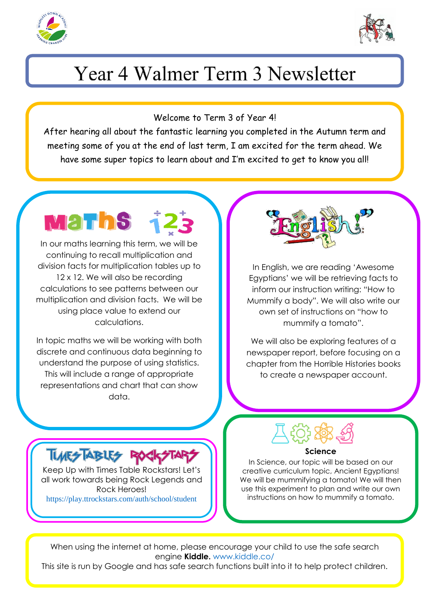



# Year 4 Walmer Term 3 Newsletter

Welcome to Term 3 of Year 4!

After hearing all about the fantastic learning you completed in the Autumn term and meeting some of you at the end of last term, I am excited for the term ahead. We have some super topics to learn about and I'm excited to get to know you all!

Mar In our maths learning this term, we will be continuing to recall multiplication and division facts for multiplication tables up to 12 x 12. We will also be recording calculations to see patterns between our

multiplication and division facts. We will be using place value to extend our calculations.

In topic maths we will be working with both discrete and continuous data beginning to understand the purpose of using statistics. This will include a range of appropriate representations and chart that can show data.

Keep Up with Times Table Rockstars! Let's all work towards being Rock Legends and Rock Heroes! <https://play.ttrockstars.com/auth/school/student>

**TURESTABLES ROC** 



In English, we are reading 'Awesome Egyptians' we will be retrieving facts to inform our instruction writing: "How to Mummify a body". We will also write our own set of instructions on "how to mummify a tomato".

We will also be exploring features of a newspaper report, before focusing on a chapter from the Horrible Histories books to create a newspaper account.

#### **Science**

In Science, our topic will be based on our creative curriculum topic, Ancient Egyptians! We will be mummifying a tomato! We will then use this experiment to plan and write our own instructions on how to mummify a tomato.

When using the internet at home, please encourage your child to use the safe search engine **Kiddle.** [www.kiddle.co/](http://www.kiddle.co/)

This site is run by Google and has safe search functions built into it to help protect children.